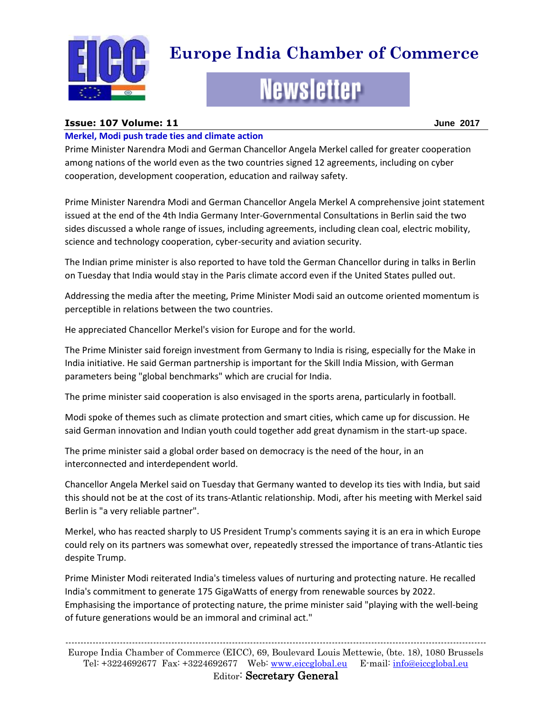

# **Europe India Chamber of Commerce**

# **Newsletter**

# **Issue: 107 Volume: 11 June 2017**

#### **Merkel, Modi push trade ties and climate action**

Prime Minister Narendra Modi and German Chancellor Angela Merkel called for greater cooperation among nations of the world even as the two countries signed 12 agreements, including on cyber cooperation, development cooperation, education and railway safety.

Prime Minister Narendra Modi and German Chancellor Angela Merkel A comprehensive joint statement issued at the end of the 4th India Germany Inter-Governmental Consultations in Berlin said the two sides discussed a whole range of issues, including agreements, including clean coal, electric mobility, science and technology cooperation, cyber-security and aviation security.

The Indian prime minister is also reported to have told the German Chancellor during in talks in Berlin on Tuesday that India would stay in the Paris climate accord even if the United States pulled out.

Addressing the media after the meeting, Prime Minister Modi said an outcome oriented momentum is perceptible in relations between the two countries.

He appreciated Chancellor Merkel's vision for Europe and for the world.

The Prime Minister said foreign investment from Germany to India is rising, especially for the Make in India initiative. He said German partnership is important for the Skill India Mission, with German parameters being "global benchmarks" which are crucial for India.

The prime minister said cooperation is also envisaged in the sports arena, particularly in football.

Modi spoke of themes such as climate protection and smart cities, which came up for discussion. He said German innovation and Indian youth could together add great dynamism in the start-up space.

The prime minister said a global order based on democracy is the need of the hour, in an interconnected and interdependent world.

Chancellor Angela Merkel said on Tuesday that Germany wanted to develop its ties with India, but said this should not be at the cost of its trans-Atlantic relationship. Modi, after his meeting with Merkel said Berlin is "a very reliable partner".

Merkel, who has reacted sharply to US President Trump's comments saying it is an era in which Europe could rely on its partners was somewhat over, repeatedly stressed the importance of trans-Atlantic ties despite Trump.

Prime Minister Modi reiterated India's timeless values of nurturing and protecting nature. He recalled India's commitment to generate 175 GigaWatts of energy from renewable sources by 2022. Emphasising the importance of protecting nature, the prime minister said "playing with the well-being of future generations would be an immoral and criminal act."

------------------------------------------------------------------------------------------------------------------------------------------- Europe India Chamber of Commerce (EICC), 69, Boulevard Louis Mettewie, (bte. 18), 1080 Brussels Tel: +3224692677 Fax: +3224692677 Web: [www.eiccglobal.eu](http://www.eiccglobal.eu/) E-mail: [info@eiccglobal.eu](mailto:info@eiccglobal.eu)

Editor: Secretary General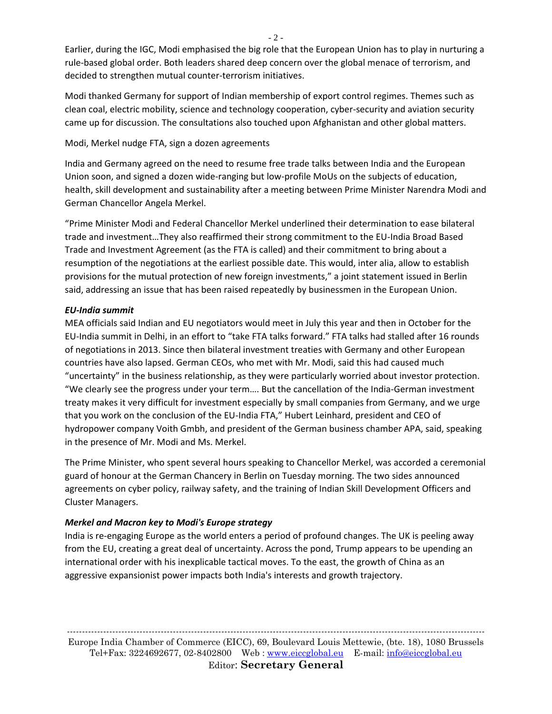Earlier, during the IGC, Modi emphasised the big role that the European Union has to play in nurturing a rule-based global order. Both leaders shared deep concern over the global menace of terrorism, and decided to strengthen mutual counter-terrorism initiatives.

Modi thanked Germany for support of Indian membership of export control regimes. Themes such as clean coal, electric mobility, science and technology cooperation, cyber-security and aviation security came up for discussion. The consultations also touched upon Afghanistan and other global matters.

#### Modi, Merkel nudge FTA, sign a dozen agreements

India and Germany agreed on the need to resume free trade talks between India and the European Union soon, and signed a dozen wide-ranging but low-profile MoUs on the subjects of education, health, skill development and sustainability after a meeting between Prime Minister Narendra Modi and German Chancellor Angela Merkel.

"Prime Minister Modi and Federal Chancellor Merkel underlined their determination to ease bilateral trade and investment…They also reaffirmed their strong commitment to the EU-India Broad Based Trade and Investment Agreement (as the FTA is called) and their commitment to bring about a resumption of the negotiations at the earliest possible date. This would, inter alia, allow to establish provisions for the mutual protection of new foreign investments," a joint statement issued in Berlin said, addressing an issue that has been raised repeatedly by businessmen in the European Union.

# *EU-India summit*

MEA officials said Indian and EU negotiators would meet in July this year and then in October for the EU-India summit in Delhi, in an effort to "take FTA talks forward." FTA talks had stalled after 16 rounds of negotiations in 2013. Since then bilateral investment treaties with Germany and other European countries have also lapsed. German CEOs, who met with Mr. Modi, said this had caused much "uncertainty" in the business relationship, as they were particularly worried about investor protection. "We clearly see the progress under your term…. But the cancellation of the India-German investment treaty makes it very difficult for investment especially by small companies from Germany, and we urge that you work on the conclusion of the EU-India FTA," Hubert Leinhard, president and CEO of hydropower company Voith Gmbh, and president of the German business chamber APA, said, speaking in the presence of Mr. Modi and Ms. Merkel.

The Prime Minister, who spent several hours speaking to Chancellor Merkel, was accorded a ceremonial guard of honour at the German Chancery in Berlin on Tuesday morning. The two sides announced agreements on cyber policy, railway safety, and the training of Indian Skill Development Officers and Cluster Managers.

# *Merkel and Macron key to Modi's Europe strategy*

India is re-engaging Europe as the world enters a period of profound changes. The UK is peeling away from the EU, creating a great deal of uncertainty. Across the pond, Trump appears to be upending an international order with his inexplicable tactical moves. To the east, the growth of China as an aggressive expansionist power impacts both India's interests and growth trajectory.

------------------------------------------------------------------------------------------------------------------------------------------ Europe India Chamber of Commerce (EICC), 69, Boulevard Louis Mettewie, (bte. 18), 1080 Brussels Tel+Fax: 3224692677, 02-8402800 Web : [www.eiccglobal.eu](http://www.eiccglobal.eu/) E-mail: [info@eiccglobal.eu](mailto:info@eiccglobal.eu) Editor: **Secretary General**

 $-2 -$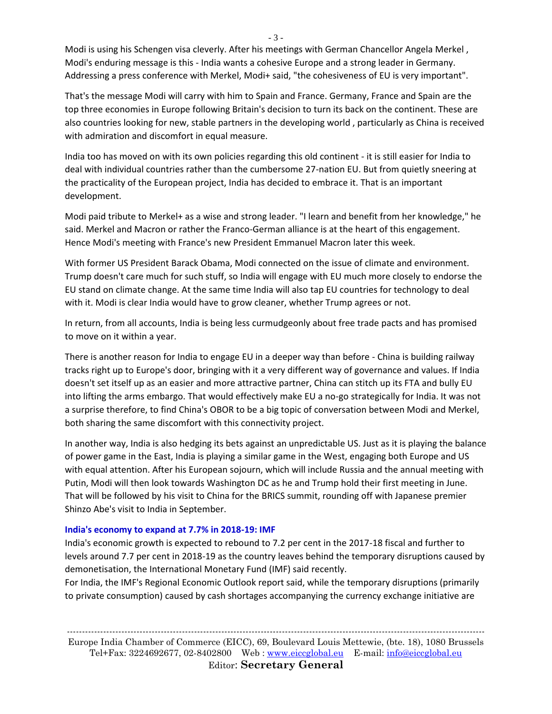Modi is using his Schengen visa cleverly. After his meetings with German Chancellor Angela Merkel , Modi's enduring message is this - India wants a cohesive Europe and a strong leader in Germany. Addressing a press conference with Merkel, Modi+ said, "the cohesiveness of EU is very important".

That's the message Modi will carry with him to Spain and France. Germany, France and Spain are the top three economies in Europe following Britain's decision to turn its back on the continent. These are also countries looking for new, stable partners in the developing world , particularly as China is received with admiration and discomfort in equal measure.

India too has moved on with its own policies regarding this old continent - it is still easier for India to deal with individual countries rather than the cumbersome 27-nation EU. But from quietly sneering at the practicality of the European project, India has decided to embrace it. That is an important development.

Modi paid tribute to Merkel+ as a wise and strong leader. "I learn and benefit from her knowledge," he said. Merkel and Macron or rather the Franco-German alliance is at the heart of this engagement. Hence Modi's meeting with France's new President Emmanuel Macron later this week.

With former US President Barack Obama, Modi connected on the issue of climate and environment. Trump doesn't care much for such stuff, so India will engage with EU much more closely to endorse the EU stand on climate change. At the same time India will also tap EU countries for technology to deal with it. Modi is clear India would have to grow cleaner, whether Trump agrees or not.

In return, from all accounts, India is being less curmudgeonly about free trade pacts and has promised to move on it within a year.

There is another reason for India to engage EU in a deeper way than before - China is building railway tracks right up to Europe's door, bringing with it a very different way of governance and values. If India doesn't set itself up as an easier and more attractive partner, China can stitch up its FTA and bully EU into lifting the arms embargo. That would effectively make EU a no-go strategically for India. It was not a surprise therefore, to find China's OBOR to be a big topic of conversation between Modi and Merkel, both sharing the same discomfort with this connectivity project.

In another way, India is also hedging its bets against an unpredictable US. Just as it is playing the balance of power game in the East, India is playing a similar game in the West, engaging both Europe and US with equal attention. After his European sojourn, which will include Russia and the annual meeting with Putin, Modi will then look towards Washington DC as he and Trump hold their first meeting in June. That will be followed by his visit to China for the BRICS summit, rounding off with Japanese premier Shinzo Abe's visit to India in September.

#### **India's economy to expand at 7.7% in 2018-19: IMF**

India's economic growth is expected to rebound to 7.2 per cent in the 2017-18 fiscal and further to levels around 7.7 per cent in 2018-19 as the country leaves behind the temporary disruptions caused by demonetisation, the International Monetary Fund (IMF) said recently.

For India, the IMF's Regional Economic Outlook report said, while the temporary disruptions (primarily to private consumption) caused by cash shortages accompanying the currency exchange initiative are

- 3 -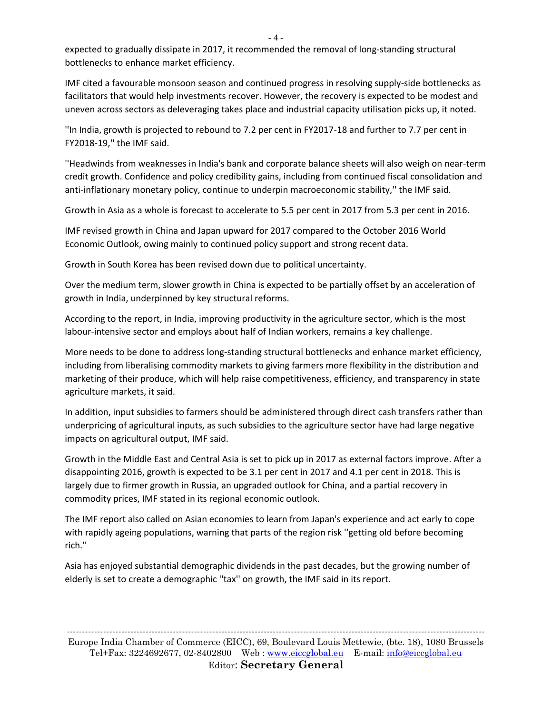$-4-$ 

expected to gradually dissipate in 2017, it recommended the removal of long-standing structural bottlenecks to enhance market efficiency.

IMF cited a favourable monsoon season and continued progress in resolving supply-side bottlenecks as facilitators that would help investments recover. However, the recovery is expected to be modest and uneven across sectors as deleveraging takes place and industrial capacity utilisation picks up, it noted.

''In India, growth is projected to rebound to 7.2 per cent in FY2017-18 and further to 7.7 per cent in FY2018-19,'' the IMF said.

''Headwinds from weaknesses in India's bank and corporate balance sheets will also weigh on near-term credit growth. Confidence and policy credibility gains, including from continued fiscal consolidation and anti-inflationary monetary policy, continue to underpin macroeconomic stability,'' the IMF said.

Growth in Asia as a whole is forecast to accelerate to 5.5 per cent in 2017 from 5.3 per cent in 2016.

IMF revised growth in China and Japan upward for 2017 compared to the October 2016 World Economic Outlook, owing mainly to continued policy support and strong recent data.

Growth in South Korea has been revised down due to political uncertainty.

Over the medium term, slower growth in China is expected to be partially offset by an acceleration of growth in India, underpinned by key structural reforms.

According to the report, in India, improving productivity in the agriculture sector, which is the most labour-intensive sector and employs about half of Indian workers, remains a key challenge.

More needs to be done to address long-standing structural bottlenecks and enhance market efficiency, including from liberalising commodity markets to giving farmers more flexibility in the distribution and marketing of their produce, which will help raise competitiveness, efficiency, and transparency in state agriculture markets, it said.

In addition, input subsidies to farmers should be administered through direct cash transfers rather than underpricing of agricultural inputs, as such subsidies to the agriculture sector have had large negative impacts on agricultural output, IMF said.

Growth in the Middle East and Central Asia is set to pick up in 2017 as external factors improve. After a disappointing 2016, growth is expected to be 3.1 per cent in 2017 and 4.1 per cent in 2018. This is largely due to firmer growth in Russia, an upgraded outlook for China, and a partial recovery in commodity prices, IMF stated in its regional economic outlook.

The IMF report also called on Asian economies to learn from Japan's experience and act early to cope with rapidly ageing populations, warning that parts of the region risk ''getting old before becoming rich.''

Asia has enjoyed substantial demographic dividends in the past decades, but the growing number of elderly is set to create a demographic ''tax'' on growth, the IMF said in its report.

------------------------------------------------------------------------------------------------------------------------------------------ Europe India Chamber of Commerce (EICC), 69, Boulevard Louis Mettewie, (bte. 18), 1080 Brussels Tel+Fax: 3224692677, 02-8402800 Web : [www.eiccglobal.eu](http://www.eiccglobal.eu/) E-mail: [info@eiccglobal.eu](mailto:info@eiccglobal.eu) Editor: **Secretary General**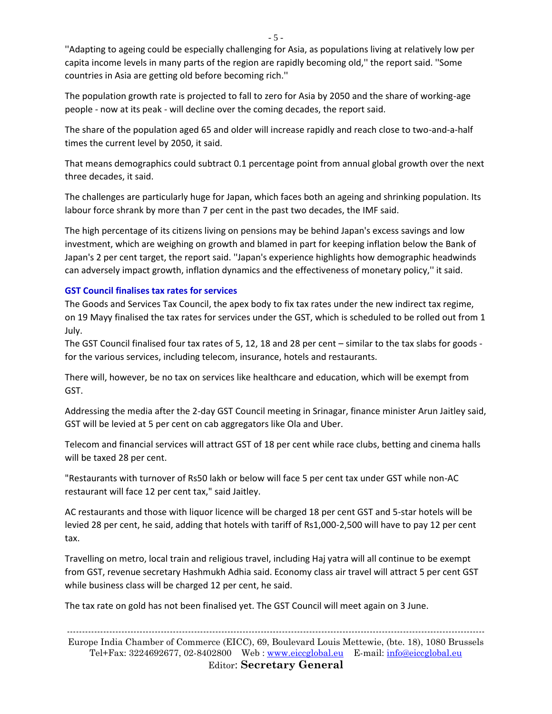''Adapting to ageing could be especially challenging for Asia, as populations living at relatively low per capita income levels in many parts of the region are rapidly becoming old,'' the report said. ''Some countries in Asia are getting old before becoming rich.''

The population growth rate is projected to fall to zero for Asia by 2050 and the share of working-age people - now at its peak - will decline over the coming decades, the report said.

The share of the population aged 65 and older will increase rapidly and reach close to two-and-a-half times the current level by 2050, it said.

That means demographics could subtract 0.1 percentage point from annual global growth over the next three decades, it said.

The challenges are particularly huge for Japan, which faces both an ageing and shrinking population. Its labour force shrank by more than 7 per cent in the past two decades, the IMF said.

The high percentage of its citizens living on pensions may be behind Japan's excess savings and low investment, which are weighing on growth and blamed in part for keeping inflation below the Bank of Japan's 2 per cent target, the report said. ''Japan's experience highlights how demographic headwinds can adversely impact growth, inflation dynamics and the effectiveness of monetary policy,'' it said.

#### **GST Council finalises tax rates for services**

The Goods and Services Tax Council, the apex body to fix tax rates under the new indirect tax regime, on 19 Mayy finalised the tax rates for services under the GST, which is scheduled to be rolled out from 1 July.

The GST Council finalised four tax rates of 5, 12, 18 and 28 per cent – similar to the tax slabs for goods for the various services, including telecom, insurance, hotels and restaurants.

There will, however, be no tax on services like healthcare and education, which will be exempt from GST.

Addressing the media after the 2-day GST Council meeting in Srinagar, finance minister Arun Jaitley said, GST will be levied at 5 per cent on cab aggregators like Ola and Uber.

Telecom and financial services will attract GST of 18 per cent while race clubs, betting and cinema halls will be taxed 28 per cent.

"Restaurants with turnover of Rs50 lakh or below will face 5 per cent tax under GST while non-AC restaurant will face 12 per cent tax," said Jaitley.

AC restaurants and those with liquor licence will be charged 18 per cent GST and 5-star hotels will be levied 28 per cent, he said, adding that hotels with tariff of Rs1,000-2,500 will have to pay 12 per cent tax.

Travelling on metro, local train and religious travel, including Haj yatra will all continue to be exempt from GST, revenue secretary Hashmukh Adhia said. Economy class air travel will attract 5 per cent GST while business class will be charged 12 per cent, he said.

The tax rate on gold has not been finalised yet. The GST Council will meet again on 3 June.

------------------------------------------------------------------------------------------------------------------------------------------ Europe India Chamber of Commerce (EICC), 69, Boulevard Louis Mettewie, (bte. 18), 1080 Brussels Tel+Fax: 3224692677, 02-8402800 Web : [www.eiccglobal.eu](http://www.eiccglobal.eu/) E-mail: [info@eiccglobal.eu](mailto:info@eiccglobal.eu) Editor: **Secretary General**

- 5 -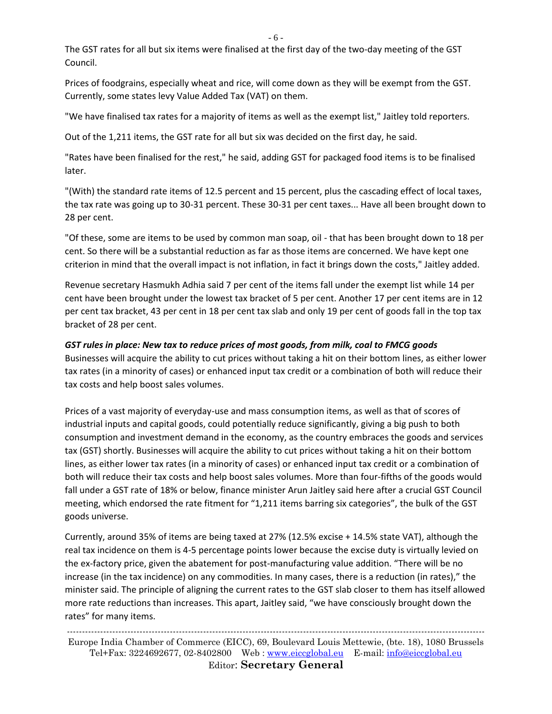- 6 -

The GST rates for all but six items were finalised at the first day of the two-day meeting of the GST Council.

Prices of foodgrains, especially wheat and rice, will come down as they will be exempt from the GST. Currently, some states levy Value Added Tax (VAT) on them.

"We have finalised tax rates for a majority of items as well as the exempt list," Jaitley told reporters.

Out of the 1,211 items, the GST rate for all but six was decided on the first day, he said.

"Rates have been finalised for the rest," he said, adding GST for packaged food items is to be finalised later.

"(With) the standard rate items of 12.5 percent and 15 percent, plus the cascading effect of local taxes, the tax rate was going up to 30-31 percent. These 30-31 per cent taxes... Have all been brought down to 28 per cent.

"Of these, some are items to be used by common man soap, oil - that has been brought down to 18 per cent. So there will be a substantial reduction as far as those items are concerned. We have kept one criterion in mind that the overall impact is not inflation, in fact it brings down the costs," Jaitley added.

Revenue secretary Hasmukh Adhia said 7 per cent of the items fall under the exempt list while 14 per cent have been brought under the lowest tax bracket of 5 per cent. Another 17 per cent items are in 12 per cent tax bracket, 43 per cent in 18 per cent tax slab and only 19 per cent of goods fall in the top tax bracket of 28 per cent.

# *GST rules in place: New tax to reduce prices of most goods, from milk, coal to FMCG goods*

Businesses will acquire the ability to cut prices without taking a hit on their bottom lines, as either lower tax rates (in a minority of cases) or enhanced input tax credit or a combination of both will reduce their tax costs and help boost sales volumes.

Prices of a vast majority of everyday-use and mass consumption items, as well as that of scores of industrial inputs and capital goods, could potentially reduce significantly, giving a big push to both consumption and investment demand in the economy, as the country embraces the goods and services tax (GST) shortly. Businesses will acquire the ability to cut prices without taking a hit on their bottom lines, as either lower tax rates (in a minority of cases) or enhanced input tax credit or a combination of both will reduce their tax costs and help boost sales volumes. More than four-fifths of the goods would fall under a GST rate of 18% or below, finance minister Arun Jaitley said here after a crucial GST Council meeting, which endorsed the rate fitment for "1,211 items barring six categories", the bulk of the GST goods universe.

Currently, around 35% of items are being taxed at 27% (12.5% excise + 14.5% state VAT), although the real tax incidence on them is 4-5 percentage points lower because the excise duty is virtually levied on the ex-factory price, given the abatement for post-manufacturing value addition. "There will be no increase (in the tax incidence) on any commodities. In many cases, there is a reduction (in rates)," the minister said. The principle of aligning the current rates to the GST slab closer to them has itself allowed more rate reductions than increases. This apart, Jaitley said, "we have consciously brought down the rates" for many items.

------------------------------------------------------------------------------------------------------------------------------------------ Europe India Chamber of Commerce (EICC), 69, Boulevard Louis Mettewie, (bte. 18), 1080 Brussels Tel+Fax: 3224692677, 02-8402800 Web : [www.eiccglobal.eu](http://www.eiccglobal.eu/) E-mail: [info@eiccglobal.eu](mailto:info@eiccglobal.eu) Editor: **Secretary General**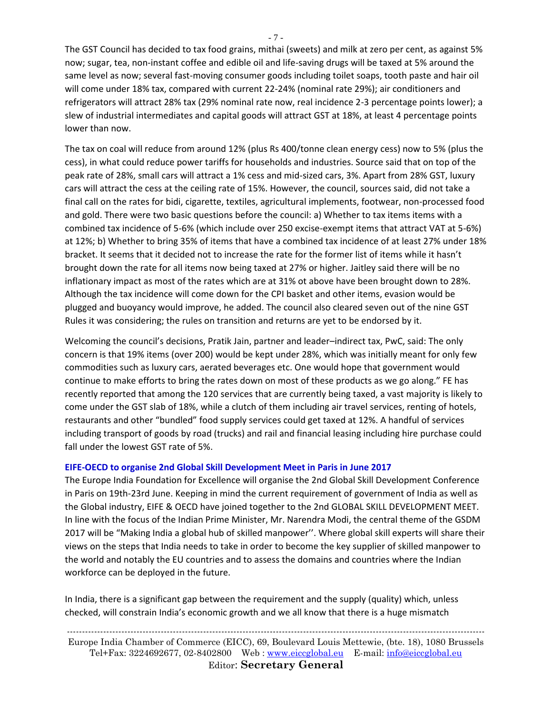The GST Council has decided to tax food grains, mithai (sweets) and milk at zero per cent, as against 5% now; sugar, tea, non-instant coffee and edible oil and life-saving drugs will be taxed at 5% around the same level as now; several fast-moving consumer goods including toilet soaps, tooth paste and hair oil will come under 18% tax, compared with current 22-24% (nominal rate 29%); air conditioners and refrigerators will attract 28% tax (29% nominal rate now, real incidence 2-3 percentage points lower); a slew of industrial intermediates and capital goods will attract GST at 18%, at least 4 percentage points lower than now.

The tax on coal will reduce from around 12% (plus Rs 400/tonne clean energy cess) now to 5% (plus the cess), in what could reduce power tariffs for households and industries. Source said that on top of the peak rate of 28%, small cars will attract a 1% cess and mid-sized cars, 3%. Apart from 28% GST, luxury cars will attract the cess at the ceiling rate of 15%. However, the council, sources said, did not take a final call on the rates for bidi, cigarette, textiles, agricultural implements, footwear, non-processed food and gold. There were two basic questions before the council: a) Whether to tax items items with a combined tax incidence of 5-6% (which include over 250 excise-exempt items that attract VAT at 5-6%) at 12%; b) Whether to bring 35% of items that have a combined tax incidence of at least 27% under 18% bracket. It seems that it decided not to increase the rate for the former list of items while it hasn't brought down the rate for all items now being taxed at 27% or higher. Jaitley said there will be no inflationary impact as most of the rates which are at 31% ot above have been brought down to 28%. Although the tax incidence will come down for the CPI basket and other items, evasion would be plugged and buoyancy would improve, he added. The council also cleared seven out of the nine GST Rules it was considering; the rules on transition and returns are yet to be endorsed by it.

Welcoming the council's decisions, Pratik Jain, partner and leader–indirect tax, PwC, said: The only concern is that 19% items (over 200) would be kept under 28%, which was initially meant for only few commodities such as luxury cars, aerated beverages etc. One would hope that government would continue to make efforts to bring the rates down on most of these products as we go along." FE has recently reported that among the 120 services that are currently being taxed, a vast majority is likely to come under the GST slab of 18%, while a clutch of them including air travel services, renting of hotels, restaurants and other "bundled" food supply services could get taxed at 12%. A handful of services including transport of goods by road (trucks) and rail and financial leasing including hire purchase could fall under the lowest GST rate of 5%.

#### **EIFE-OECD to organise 2nd Global Skill Development Meet in Paris in June 2017**

The Europe India Foundation for Excellence will organise the 2nd Global Skill Development Conference in Paris on 19th-23rd June. Keeping in mind the current requirement of government of India as well as the Global industry, EIFE & OECD have joined together to the 2nd GLOBAL SKILL DEVELOPMENT MEET. In line with the focus of the Indian Prime Minister, Mr. Narendra Modi, the central theme of the GSDM 2017 will be "Making India a global hub of skilled manpower''. Where global skill experts will share their views on the steps that India needs to take in order to become the key supplier of skilled manpower to the world and notably the EU countries and to assess the domains and countries where the Indian workforce can be deployed in the future.

In India, there is a significant gap between the requirement and the supply (quality) which, unless checked, will constrain India's economic growth and we all know that there is a huge mismatch

------------------------------------------------------------------------------------------------------------------------------------------ Europe India Chamber of Commerce (EICC), 69, Boulevard Louis Mettewie, (bte. 18), 1080 Brussels Tel+Fax: 3224692677, 02-8402800 Web : [www.eiccglobal.eu](http://www.eiccglobal.eu/) E-mail: [info@eiccglobal.eu](mailto:info@eiccglobal.eu) Editor: **Secretary General**

- 7 -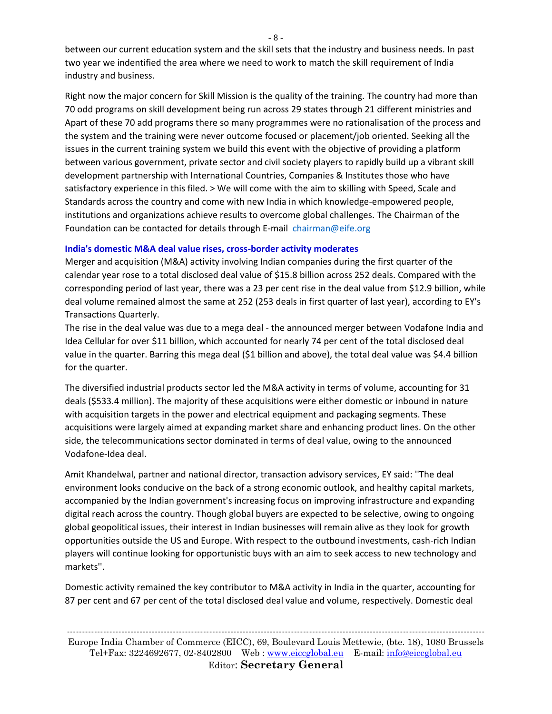between our current education system and the skill sets that the industry and business needs. In past two year we indentified the area where we need to work to match the skill requirement of India industry and business.

Right now the major concern for Skill Mission is the quality of the training. The country had more than 70 odd programs on skill development being run across 29 states through 21 different ministries and Apart of these 70 add programs there so many programmes were no rationalisation of the process and the system and the training were never outcome focused or placement/job oriented. Seeking all the issues in the current training system we build this event with the objective of providing a platform between various government, private sector and civil society players to rapidly build up a vibrant skill development partnership with International Countries, Companies & Institutes those who have satisfactory experience in this filed. > We will come with the aim to skilling with Speed, Scale and Standards across the country and come with new India in which knowledge-empowered people, institutions and organizations achieve results to overcome global challenges. The Chairman of the Foundation can be contacted for details through E-mail [chairman@eife.org](mailto:chairman@eife.org)

#### **India's domestic M&A deal value rises, cross-border activity moderates**

Merger and acquisition (M&A) activity involving Indian companies during the first quarter of the calendar year rose to a total disclosed deal value of \$15.8 billion across 252 deals. Compared with the corresponding period of last year, there was a 23 per cent rise in the deal value from \$12.9 billion, while deal volume remained almost the same at 252 (253 deals in first quarter of last year), according to EY's Transactions Quarterly.

The rise in the deal value was due to a mega deal - the announced merger between Vodafone India and Idea Cellular for over \$11 billion, which accounted for nearly 74 per cent of the total disclosed deal value in the quarter. Barring this mega deal (\$1 billion and above), the total deal value was \$4.4 billion for the quarter.

The diversified industrial products sector led the M&A activity in terms of volume, accounting for 31 deals (\$533.4 million). The majority of these acquisitions were either domestic or inbound in nature with acquisition targets in the power and electrical equipment and packaging segments. These acquisitions were largely aimed at expanding market share and enhancing product lines. On the other side, the telecommunications sector dominated in terms of deal value, owing to the announced Vodafone-Idea deal.

Amit Khandelwal, partner and national director, transaction advisory services, EY said: ''The deal environment looks conducive on the back of a strong economic outlook, and healthy capital markets, accompanied by the Indian government's increasing focus on improving infrastructure and expanding digital reach across the country. Though global buyers are expected to be selective, owing to ongoing global geopolitical issues, their interest in Indian businesses will remain alive as they look for growth opportunities outside the US and Europe. With respect to the outbound investments, cash-rich Indian players will continue looking for opportunistic buys with an aim to seek access to new technology and markets''.

Domestic activity remained the key contributor to M&A activity in India in the quarter, accounting for 87 per cent and 67 per cent of the total disclosed deal value and volume, respectively. Domestic deal

------------------------------------------------------------------------------------------------------------------------------------------ Europe India Chamber of Commerce (EICC), 69, Boulevard Louis Mettewie, (bte. 18), 1080 Brussels Tel+Fax: 3224692677, 02-8402800 Web : [www.eiccglobal.eu](http://www.eiccglobal.eu/) E-mail: [info@eiccglobal.eu](mailto:info@eiccglobal.eu) Editor: **Secretary General**

- 8 -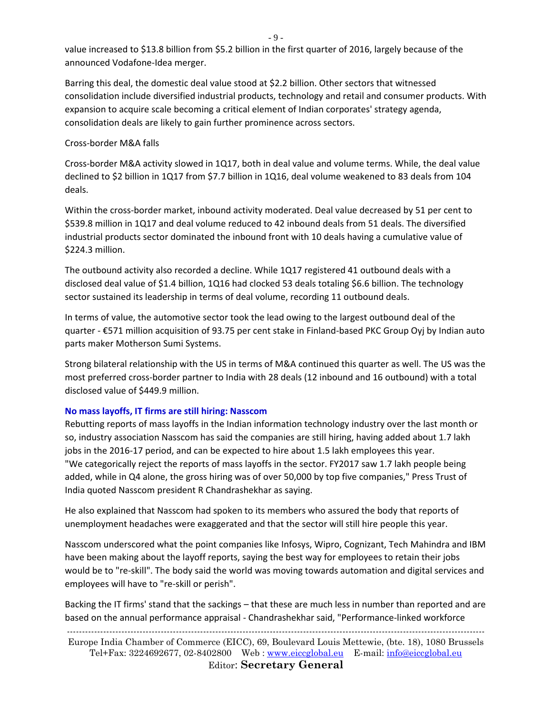- 9 -

value increased to \$13.8 billion from \$5.2 billion in the first quarter of 2016, largely because of the announced Vodafone-Idea merger.

Barring this deal, the domestic deal value stood at \$2.2 billion. Other sectors that witnessed consolidation include diversified industrial products, technology and retail and consumer products. With expansion to acquire scale becoming a critical element of Indian corporates' strategy agenda, consolidation deals are likely to gain further prominence across sectors.

#### Cross-border M&A falls

Cross-border M&A activity slowed in 1Q17, both in deal value and volume terms. While, the deal value declined to \$2 billion in 1Q17 from \$7.7 billion in 1Q16, deal volume weakened to 83 deals from 104 deals.

Within the cross-border market, inbound activity moderated. Deal value decreased by 51 per cent to \$539.8 million in 1Q17 and deal volume reduced to 42 inbound deals from 51 deals. The diversified industrial products sector dominated the inbound front with 10 deals having a cumulative value of \$224.3 million.

The outbound activity also recorded a decline. While 1Q17 registered 41 outbound deals with a disclosed deal value of \$1.4 billion, 1Q16 had clocked 53 deals totaling \$6.6 billion. The technology sector sustained its leadership in terms of deal volume, recording 11 outbound deals.

In terms of value, the automotive sector took the lead owing to the largest outbound deal of the quarter - €571 million acquisition of 93.75 per cent stake in Finland-based PKC Group Oyj by Indian auto parts maker Motherson Sumi Systems.

Strong bilateral relationship with the US in terms of M&A continued this quarter as well. The US was the most preferred cross-border partner to India with 28 deals (12 inbound and 16 outbound) with a total disclosed value of \$449.9 million.

# **No mass layoffs, IT firms are still hiring: Nasscom**

Rebutting reports of mass layoffs in the Indian information technology industry over the last month or so, industry association Nasscom has said the companies are still hiring, having added about 1.7 lakh jobs in the 2016-17 period, and can be expected to hire about 1.5 lakh employees this year. "We categorically reject the reports of mass layoffs in the sector. FY2017 saw 1.7 lakh people being added, while in Q4 alone, the gross hiring was of over 50,000 by top five companies," Press Trust of India quoted Nasscom president R Chandrashekhar as saying.

He also explained that Nasscom had spoken to its members who assured the body that reports of unemployment headaches were exaggerated and that the sector will still hire people this year.

Nasscom underscored what the point companies like Infosys, Wipro, Cognizant, Tech Mahindra and IBM have been making about the layoff reports, saying the best way for employees to retain their jobs would be to "re-skill". The body said the world was moving towards automation and digital services and employees will have to "re-skill or perish".

Backing the IT firms' stand that the sackings – that these are much less in number than reported and are based on the annual performance appraisal - Chandrashekhar said, "Performance-linked workforce

------------------------------------------------------------------------------------------------------------------------------------------

Europe India Chamber of Commerce (EICC), 69, Boulevard Louis Mettewie, (bte. 18), 1080 Brussels Tel+Fax: 3224692677, 02-8402800 Web : [www.eiccglobal.eu](http://www.eiccglobal.eu/) E-mail: [info@eiccglobal.eu](mailto:info@eiccglobal.eu) Editor: **Secretary General**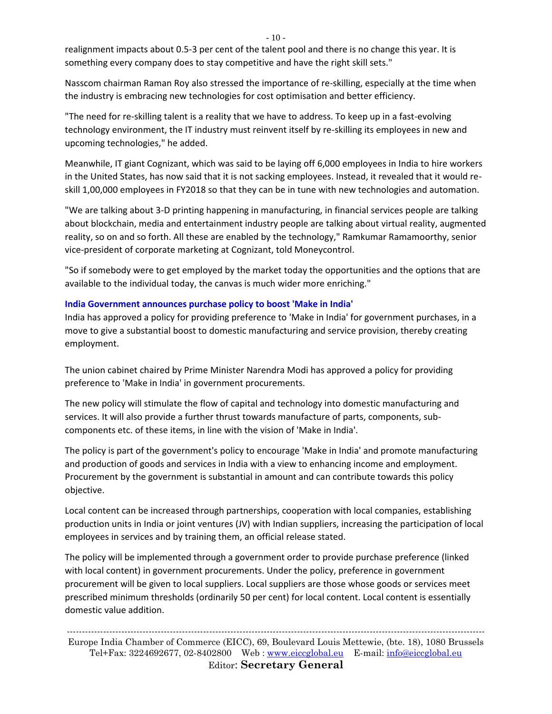$-10-$ 

realignment impacts about 0.5-3 per cent of the talent pool and there is no change this year. It is something every company does to stay competitive and have the right skill sets."

Nasscom chairman Raman Roy also stressed the importance of re-skilling, especially at the time when the industry is embracing new technologies for cost optimisation and better efficiency.

"The need for re-skilling talent is a reality that we have to address. To keep up in a fast-evolving technology environment, the IT industry must reinvent itself by re-skilling its employees in new and upcoming technologies," he added.

Meanwhile, IT giant Cognizant, which was said to be laying off 6,000 employees in India to hire workers in the United States, has now said that it is not sacking employees. Instead, it revealed that it would reskill 1,00,000 employees in FY2018 so that they can be in tune with new technologies and automation.

"We are talking about 3-D printing happening in manufacturing, in financial services people are talking about blockchain, media and entertainment industry people are talking about virtual reality, augmented reality, so on and so forth. All these are enabled by the technology," Ramkumar Ramamoorthy, senior vice-president of corporate marketing at Cognizant, told Moneycontrol.

"So if somebody were to get employed by the market today the opportunities and the options that are available to the individual today, the canvas is much wider more enriching."

# **India Government announces purchase policy to boost 'Make in India'**

India has approved a policy for providing preference to 'Make in India' for government purchases, in a move to give a substantial boost to domestic manufacturing and service provision, thereby creating employment.

The union cabinet chaired by Prime Minister Narendra Modi has approved a policy for providing preference to 'Make in India' in government procurements.

The new policy will stimulate the flow of capital and technology into domestic manufacturing and services. It will also provide a further thrust towards manufacture of parts, components, subcomponents etc. of these items, in line with the vision of 'Make in India'.

The policy is part of the government's policy to encourage 'Make in India' and promote manufacturing and production of goods and services in India with a view to enhancing income and employment. Procurement by the government is substantial in amount and can contribute towards this policy objective.

Local content can be increased through partnerships, cooperation with local companies, establishing production units in India or joint ventures (JV) with Indian suppliers, increasing the participation of local employees in services and by training them, an official release stated.

The policy will be implemented through a government order to provide purchase preference (linked with local content) in government procurements. Under the policy, preference in government procurement will be given to local suppliers. Local suppliers are those whose goods or services meet prescribed minimum thresholds (ordinarily 50 per cent) for local content. Local content is essentially domestic value addition.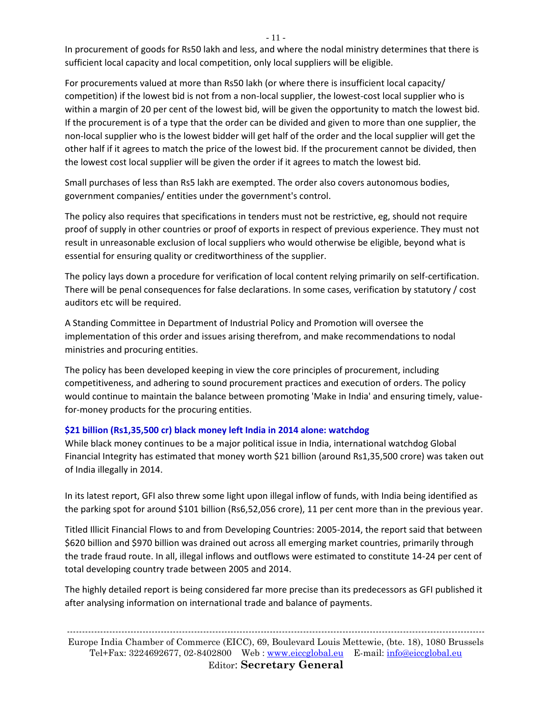In procurement of goods for Rs50 lakh and less, and where the nodal ministry determines that there is sufficient local capacity and local competition, only local suppliers will be eligible.

For procurements valued at more than Rs50 lakh (or where there is insufficient local capacity/ competition) if the lowest bid is not from a non-local supplier, the lowest-cost local supplier who is within a margin of 20 per cent of the lowest bid, will be given the opportunity to match the lowest bid. If the procurement is of a type that the order can be divided and given to more than one supplier, the non-local supplier who is the lowest bidder will get half of the order and the local supplier will get the other half if it agrees to match the price of the lowest bid. If the procurement cannot be divided, then the lowest cost local supplier will be given the order if it agrees to match the lowest bid.

Small purchases of less than Rs5 lakh are exempted. The order also covers autonomous bodies, government companies/ entities under the government's control.

The policy also requires that specifications in tenders must not be restrictive, eg, should not require proof of supply in other countries or proof of exports in respect of previous experience. They must not result in unreasonable exclusion of local suppliers who would otherwise be eligible, beyond what is essential for ensuring quality or creditworthiness of the supplier.

The policy lays down a procedure for verification of local content relying primarily on self-certification. There will be penal consequences for false declarations. In some cases, verification by statutory / cost auditors etc will be required.

A Standing Committee in Department of Industrial Policy and Promotion will oversee the implementation of this order and issues arising therefrom, and make recommendations to nodal ministries and procuring entities.

The policy has been developed keeping in view the core principles of procurement, including competitiveness, and adhering to sound procurement practices and execution of orders. The policy would continue to maintain the balance between promoting 'Make in India' and ensuring timely, valuefor-money products for the procuring entities.

# **\$21 billion (Rs1,35,500 cr) black money left India in 2014 alone: watchdog**

While black money continues to be a major political issue in India, international watchdog Global Financial Integrity has estimated that money worth \$21 billion (around Rs1,35,500 crore) was taken out of India illegally in 2014.

In its latest report, GFI also threw some light upon illegal inflow of funds, with India being identified as the parking spot for around \$101 billion (Rs6,52,056 crore), 11 per cent more than in the previous year.

Titled Illicit Financial Flows to and from Developing Countries: 2005-2014, the report said that between \$620 billion and \$970 billion was drained out across all emerging market countries, primarily through the trade fraud route. In all, illegal inflows and outflows were estimated to constitute 14-24 per cent of total developing country trade between 2005 and 2014.

The highly detailed report is being considered far more precise than its predecessors as GFI published it after analysing information on international trade and balance of payments.

------------------------------------------------------------------------------------------------------------------------------------------ Europe India Chamber of Commerce (EICC), 69, Boulevard Louis Mettewie, (bte. 18), 1080 Brussels Tel+Fax: 3224692677, 02-8402800 Web : [www.eiccglobal.eu](http://www.eiccglobal.eu/) E-mail: [info@eiccglobal.eu](mailto:info@eiccglobal.eu) Editor: **Secretary General**

- 11 -